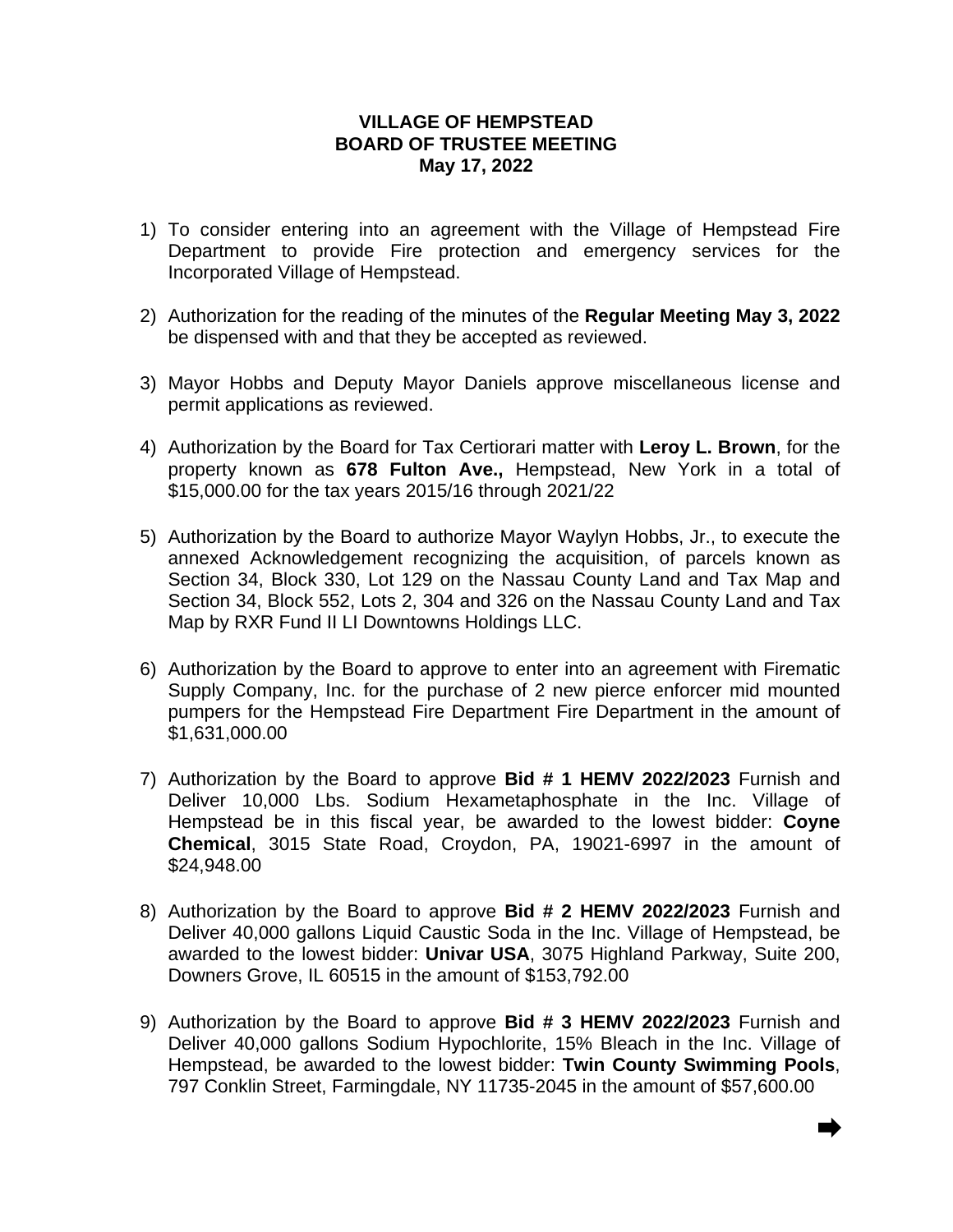## **VILLAGE OF HEMPSTEAD BOARD OF TRUSTEE MEETING May 17, 2022**

- 1) To consider entering into an agreement with the Village of Hempstead Fire Department to provide Fire protection and emergency services for the Incorporated Village of Hempstead.
- 2) Authorization for the reading of the minutes of the **Regular Meeting May 3, 2022** be dispensed with and that they be accepted as reviewed.
- 3) Mayor Hobbs and Deputy Mayor Daniels approve miscellaneous license and permit applications as reviewed.
- 4) Authorization by the Board for Tax Certiorari matter with **Leroy L. Brown**, for the property known as **678 Fulton Ave.,** Hempstead, New York in a total of \$15,000.00 for the tax years 2015/16 through 2021/22
- 5) Authorization by the Board to authorize Mayor Waylyn Hobbs, Jr., to execute the annexed Acknowledgement recognizing the acquisition, of parcels known as Section 34, Block 330, Lot 129 on the Nassau County Land and Tax Map and Section 34, Block 552, Lots 2, 304 and 326 on the Nassau County Land and Tax Map by RXR Fund II LI Downtowns Holdings LLC.
- 6) Authorization by the Board to approve to enter into an agreement with Firematic Supply Company, Inc. for the purchase of 2 new pierce enforcer mid mounted pumpers for the Hempstead Fire Department Fire Department in the amount of \$1,631,000.00
- 7) Authorization by the Board to approve **Bid # 1 HEMV 2022/2023** Furnish and Deliver 10,000 Lbs. Sodium Hexametaphosphate in the Inc. Village of Hempstead be in this fiscal year, be awarded to the lowest bidder: **Coyne Chemical**, 3015 State Road, Croydon, PA, 19021-6997 in the amount of \$24,948.00
- 8) Authorization by the Board to approve **Bid # 2 HEMV 2022/2023** Furnish and Deliver 40,000 gallons Liquid Caustic Soda in the Inc. Village of Hempstead, be awarded to the lowest bidder: **Univar USA**, 3075 Highland Parkway, Suite 200, Downers Grove, IL 60515 in the amount of \$153,792.00
- 9) Authorization by the Board to approve **Bid # 3 HEMV 2022/2023** Furnish and Deliver 40,000 gallons Sodium Hypochlorite, 15% Bleach in the Inc. Village of Hempstead, be awarded to the lowest bidder: **Twin County Swimming Pools**, 797 Conklin Street, Farmingdale, NY 11735-2045 in the amount of \$57,600.00